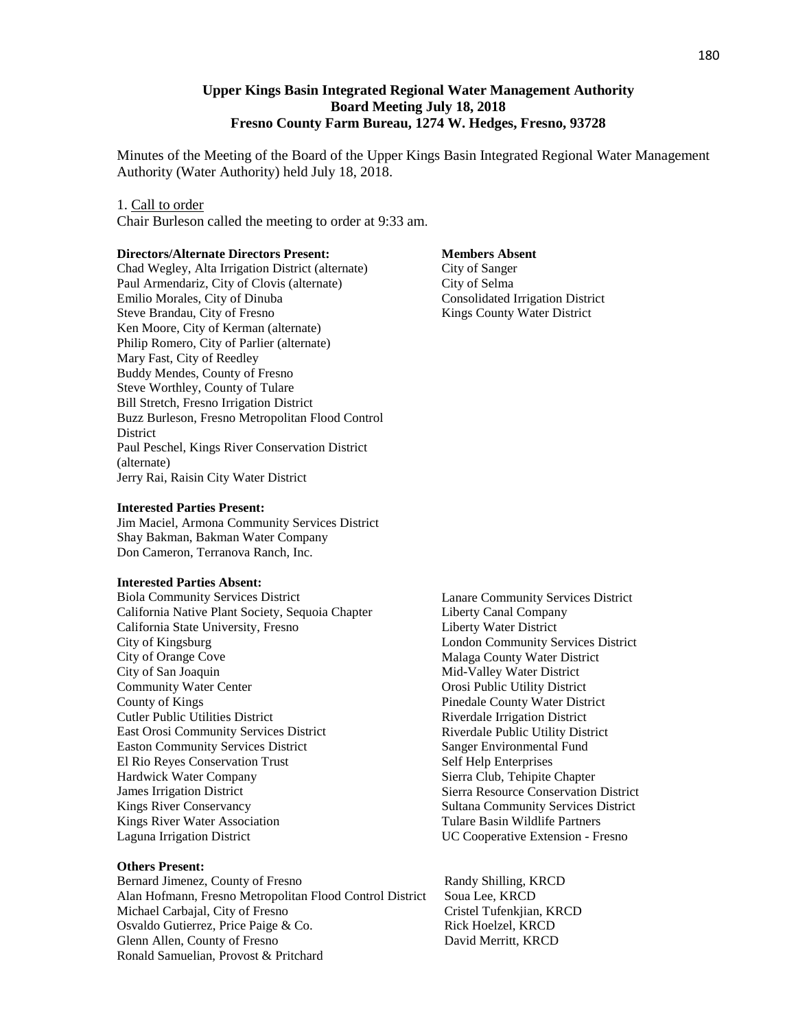## **Upper Kings Basin Integrated Regional Water Management Authority Board Meeting July 18, 2018 Fresno County Farm Bureau, 1274 W. Hedges, Fresno, 93728**

Minutes of the Meeting of the Board of the Upper Kings Basin Integrated Regional Water Management Authority (Water Authority) held July 18, 2018.

#### 1. Call to order

Chair Burleson called the meeting to order at 9:33 am.

#### **Directors/Alternate Directors Present:**

Chad Wegley, Alta Irrigation District (alternate) Paul Armendariz, City of Clovis (alternate) Emilio Morales, City of Dinuba Steve Brandau, City of Fresno Ken Moore, City of Kerman (alternate) Philip Romero, City of Parlier (alternate) Mary Fast, City of Reedley Buddy Mendes, County of Fresno Steve Worthley, County of Tulare Bill Stretch, Fresno Irrigation District Buzz Burleson, Fresno Metropolitan Flood Control **District** Paul Peschel, Kings River Conservation District (alternate) Jerry Rai, Raisin City Water District

#### **Interested Parties Present:**

Jim Maciel, Armona Community Services District Shay Bakman, Bakman Water Company Don Cameron, Terranova Ranch, Inc.

#### **Interested Parties Absent:**

Biola Community Services District California Native Plant Society, Sequoia Chapter California State University, Fresno City of Kingsburg City of Orange Cove City of San Joaquin Community Water Center County of Kings Cutler Public Utilities District East Orosi Community Services District Easton Community Services District El Rio Reyes Conservation Trust Hardwick Water Company James Irrigation District Kings River Conservancy Kings River Water Association Laguna Irrigation District

#### **Others Present:**

Bernard Jimenez, County of Fresno Randy Shilling, KRCD Alan Hofmann, Fresno Metropolitan Flood Control District Soua Lee, KRCD Michael Carbajal, City of Fresno **Cristel Tufenkiian**, KRCD Osvaldo Gutierrez, Price Paige & Co. Rick Hoelzel, KRCD Glenn Allen, County of Fresno David Merritt, KRCD Ronald Samuelian, Provost & Pritchard

#### **Members Absent**

City of Sanger City of Selma Consolidated Irrigation District Kings County Water District

Lanare Community Services District Liberty Canal Company Liberty Water District London Community Services District Malaga County Water District Mid-Valley Water District Orosi Public Utility District Pinedale County Water District Riverdale Irrigation District Riverdale Public Utility District Sanger Environmental Fund Self Help Enterprises Sierra Club, Tehipite Chapter Sierra Resource Conservation District Sultana Community Services District Tulare Basin Wildlife Partners UC Cooperative Extension - Fresno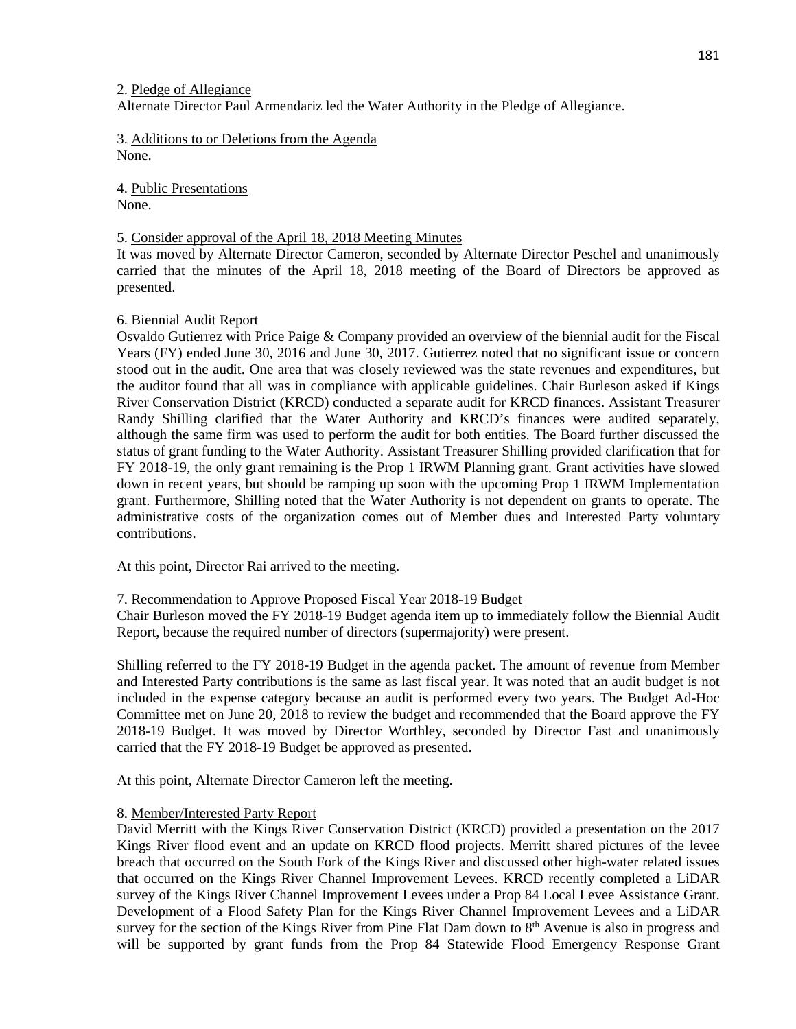## 2. Pledge of Allegiance

Alternate Director Paul Armendariz led the Water Authority in the Pledge of Allegiance.

3. Additions to or Deletions from the Agenda None.

4. Public Presentations None.

## 5. Consider approval of the April 18, 2018 Meeting Minutes

It was moved by Alternate Director Cameron, seconded by Alternate Director Peschel and unanimously carried that the minutes of the April 18, 2018 meeting of the Board of Directors be approved as presented.

# 6. Biennial Audit Report

Osvaldo Gutierrez with Price Paige & Company provided an overview of the biennial audit for the Fiscal Years (FY) ended June 30, 2016 and June 30, 2017. Gutierrez noted that no significant issue or concern stood out in the audit. One area that was closely reviewed was the state revenues and expenditures, but the auditor found that all was in compliance with applicable guidelines. Chair Burleson asked if Kings River Conservation District (KRCD) conducted a separate audit for KRCD finances. Assistant Treasurer Randy Shilling clarified that the Water Authority and KRCD's finances were audited separately, although the same firm was used to perform the audit for both entities. The Board further discussed the status of grant funding to the Water Authority. Assistant Treasurer Shilling provided clarification that for FY 2018-19, the only grant remaining is the Prop 1 IRWM Planning grant. Grant activities have slowed down in recent years, but should be ramping up soon with the upcoming Prop 1 IRWM Implementation grant. Furthermore, Shilling noted that the Water Authority is not dependent on grants to operate. The administrative costs of the organization comes out of Member dues and Interested Party voluntary contributions.

At this point, Director Rai arrived to the meeting.

# 7. Recommendation to Approve Proposed Fiscal Year 2018-19 Budget

Chair Burleson moved the FY 2018-19 Budget agenda item up to immediately follow the Biennial Audit Report, because the required number of directors (supermajority) were present.

Shilling referred to the FY 2018-19 Budget in the agenda packet. The amount of revenue from Member and Interested Party contributions is the same as last fiscal year. It was noted that an audit budget is not included in the expense category because an audit is performed every two years. The Budget Ad-Hoc Committee met on June 20, 2018 to review the budget and recommended that the Board approve the FY 2018-19 Budget. It was moved by Director Worthley, seconded by Director Fast and unanimously carried that the FY 2018-19 Budget be approved as presented.

At this point, Alternate Director Cameron left the meeting.

#### 8. Member/Interested Party Report

David Merritt with the Kings River Conservation District (KRCD) provided a presentation on the 2017 Kings River flood event and an update on KRCD flood projects. Merritt shared pictures of the levee breach that occurred on the South Fork of the Kings River and discussed other high-water related issues that occurred on the Kings River Channel Improvement Levees. KRCD recently completed a LiDAR survey of the Kings River Channel Improvement Levees under a Prop 84 Local Levee Assistance Grant. Development of a Flood Safety Plan for the Kings River Channel Improvement Levees and a LiDAR survey for the section of the Kings River from Pine Flat Dam down to  $8<sup>th</sup>$  Avenue is also in progress and will be supported by grant funds from the Prop 84 Statewide Flood Emergency Response Grant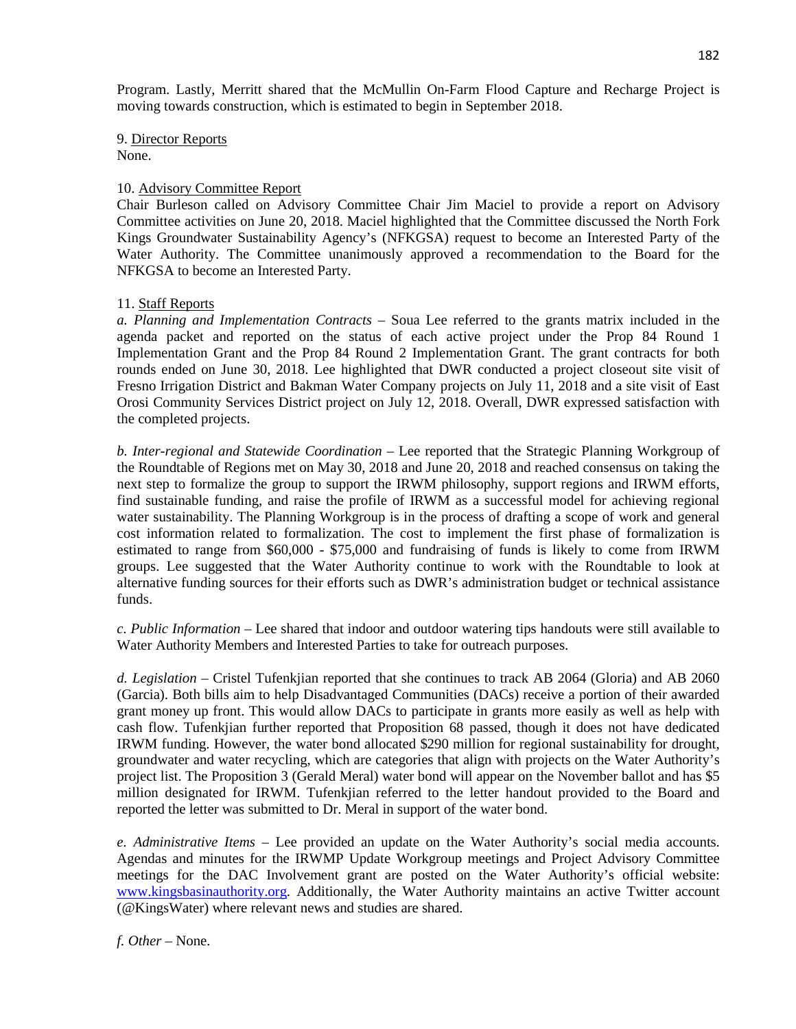Program. Lastly, Merritt shared that the McMullin On-Farm Flood Capture and Recharge Project is moving towards construction, which is estimated to begin in September 2018.

9. Director Reports None.

## 10. Advisory Committee Report

Chair Burleson called on Advisory Committee Chair Jim Maciel to provide a report on Advisory Committee activities on June 20, 2018. Maciel highlighted that the Committee discussed the North Fork Kings Groundwater Sustainability Agency's (NFKGSA) request to become an Interested Party of the Water Authority. The Committee unanimously approved a recommendation to the Board for the NFKGSA to become an Interested Party.

# 11. Staff Reports

*a. Planning and Implementation Contracts* – Soua Lee referred to the grants matrix included in the agenda packet and reported on the status of each active project under the Prop 84 Round 1 Implementation Grant and the Prop 84 Round 2 Implementation Grant. The grant contracts for both rounds ended on June 30, 2018. Lee highlighted that DWR conducted a project closeout site visit of Fresno Irrigation District and Bakman Water Company projects on July 11, 2018 and a site visit of East Orosi Community Services District project on July 12, 2018. Overall, DWR expressed satisfaction with the completed projects.

*b. Inter-regional and Statewide Coordination* – Lee reported that the Strategic Planning Workgroup of the Roundtable of Regions met on May 30, 2018 and June 20, 2018 and reached consensus on taking the next step to formalize the group to support the IRWM philosophy, support regions and IRWM efforts, find sustainable funding, and raise the profile of IRWM as a successful model for achieving regional water sustainability. The Planning Workgroup is in the process of drafting a scope of work and general cost information related to formalization. The cost to implement the first phase of formalization is estimated to range from \$60,000 - \$75,000 and fundraising of funds is likely to come from IRWM groups. Lee suggested that the Water Authority continue to work with the Roundtable to look at alternative funding sources for their efforts such as DWR's administration budget or technical assistance funds.

*c. Public Information* – Lee shared that indoor and outdoor watering tips handouts were still available to Water Authority Members and Interested Parties to take for outreach purposes.

*d. Legislation* – Cristel Tufenkjian reported that she continues to track AB 2064 (Gloria) and AB 2060 (Garcia). Both bills aim to help Disadvantaged Communities (DACs) receive a portion of their awarded grant money up front. This would allow DACs to participate in grants more easily as well as help with cash flow. Tufenkjian further reported that Proposition 68 passed, though it does not have dedicated IRWM funding. However, the water bond allocated \$290 million for regional sustainability for drought, groundwater and water recycling, which are categories that align with projects on the Water Authority's project list. The Proposition 3 (Gerald Meral) water bond will appear on the November ballot and has \$5 million designated for IRWM. Tufenkjian referred to the letter handout provided to the Board and reported the letter was submitted to Dr. Meral in support of the water bond.

*e. Administrative Items* – Lee provided an update on the Water Authority's social media accounts. Agendas and minutes for the IRWMP Update Workgroup meetings and Project Advisory Committee meetings for the DAC Involvement grant are posted on the Water Authority's official website: [www.kingsbasinauthority.org.](http://www.kingsbasinauthority.org/) Additionally, the Water Authority maintains an active Twitter account (@KingsWater) where relevant news and studies are shared.

*f. Other* – None.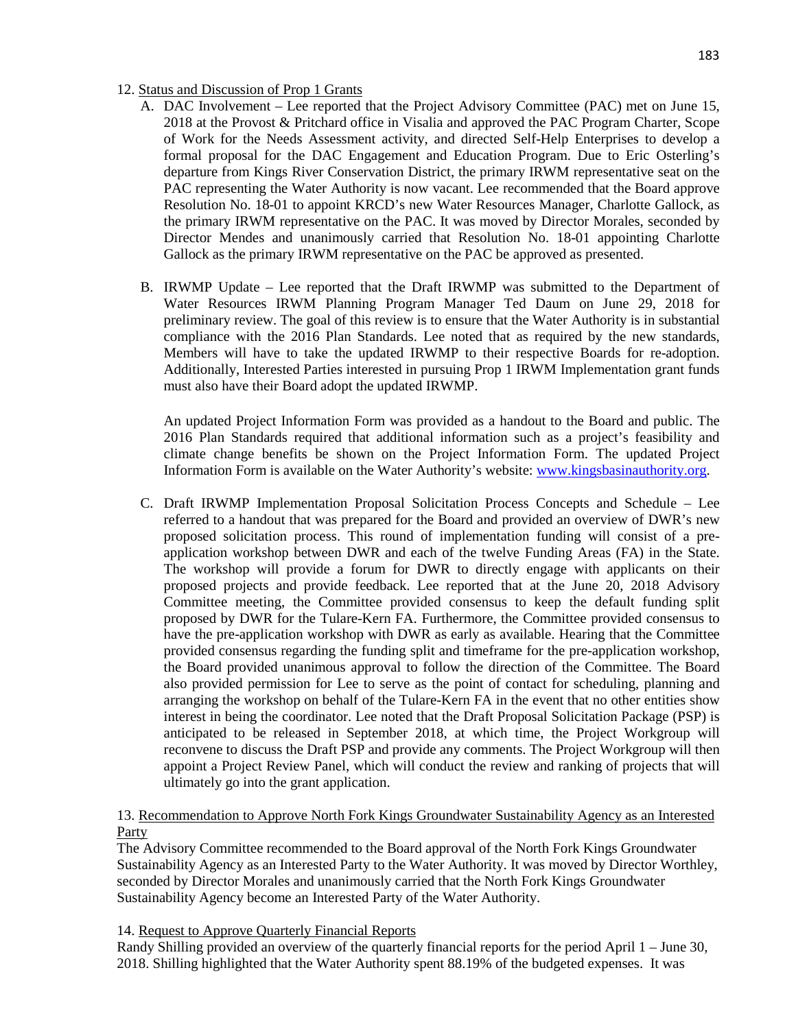# 12. Status and Discussion of Prop 1 Grants

- A. DAC Involvement Lee reported that the Project Advisory Committee (PAC) met on June 15, 2018 at the Provost & Pritchard office in Visalia and approved the PAC Program Charter, Scope of Work for the Needs Assessment activity, and directed Self-Help Enterprises to develop a formal proposal for the DAC Engagement and Education Program. Due to Eric Osterling's departure from Kings River Conservation District, the primary IRWM representative seat on the PAC representing the Water Authority is now vacant. Lee recommended that the Board approve Resolution No. 18-01 to appoint KRCD's new Water Resources Manager, Charlotte Gallock, as the primary IRWM representative on the PAC. It was moved by Director Morales, seconded by Director Mendes and unanimously carried that Resolution No. 18-01 appointing Charlotte Gallock as the primary IRWM representative on the PAC be approved as presented.
- B. IRWMP Update Lee reported that the Draft IRWMP was submitted to the Department of Water Resources IRWM Planning Program Manager Ted Daum on June 29, 2018 for preliminary review. The goal of this review is to ensure that the Water Authority is in substantial compliance with the 2016 Plan Standards. Lee noted that as required by the new standards, Members will have to take the updated IRWMP to their respective Boards for re-adoption. Additionally, Interested Parties interested in pursuing Prop 1 IRWM Implementation grant funds must also have their Board adopt the updated IRWMP.

An updated Project Information Form was provided as a handout to the Board and public. The 2016 Plan Standards required that additional information such as a project's feasibility and climate change benefits be shown on the Project Information Form. The updated Project Information Form is available on the Water Authority's website: [www.kingsbasinauthority.org.](http://www.kingsbasinauthority.org/)

C. Draft IRWMP Implementation Proposal Solicitation Process Concepts and Schedule – Lee referred to a handout that was prepared for the Board and provided an overview of DWR's new proposed solicitation process. This round of implementation funding will consist of a preapplication workshop between DWR and each of the twelve Funding Areas (FA) in the State. The workshop will provide a forum for DWR to directly engage with applicants on their proposed projects and provide feedback. Lee reported that at the June 20, 2018 Advisory Committee meeting, the Committee provided consensus to keep the default funding split proposed by DWR for the Tulare-Kern FA. Furthermore, the Committee provided consensus to have the pre-application workshop with DWR as early as available. Hearing that the Committee provided consensus regarding the funding split and timeframe for the pre-application workshop, the Board provided unanimous approval to follow the direction of the Committee. The Board also provided permission for Lee to serve as the point of contact for scheduling, planning and arranging the workshop on behalf of the Tulare-Kern FA in the event that no other entities show interest in being the coordinator. Lee noted that the Draft Proposal Solicitation Package (PSP) is anticipated to be released in September 2018, at which time, the Project Workgroup will reconvene to discuss the Draft PSP and provide any comments. The Project Workgroup will then appoint a Project Review Panel, which will conduct the review and ranking of projects that will ultimately go into the grant application.

# 13. Recommendation to Approve North Fork Kings Groundwater Sustainability Agency as an Interested Party

The Advisory Committee recommended to the Board approval of the North Fork Kings Groundwater Sustainability Agency as an Interested Party to the Water Authority. It was moved by Director Worthley, seconded by Director Morales and unanimously carried that the North Fork Kings Groundwater Sustainability Agency become an Interested Party of the Water Authority.

# 14. Request to Approve Quarterly Financial Reports

Randy Shilling provided an overview of the quarterly financial reports for the period April 1 – June 30, 2018. Shilling highlighted that the Water Authority spent 88.19% of the budgeted expenses. It was